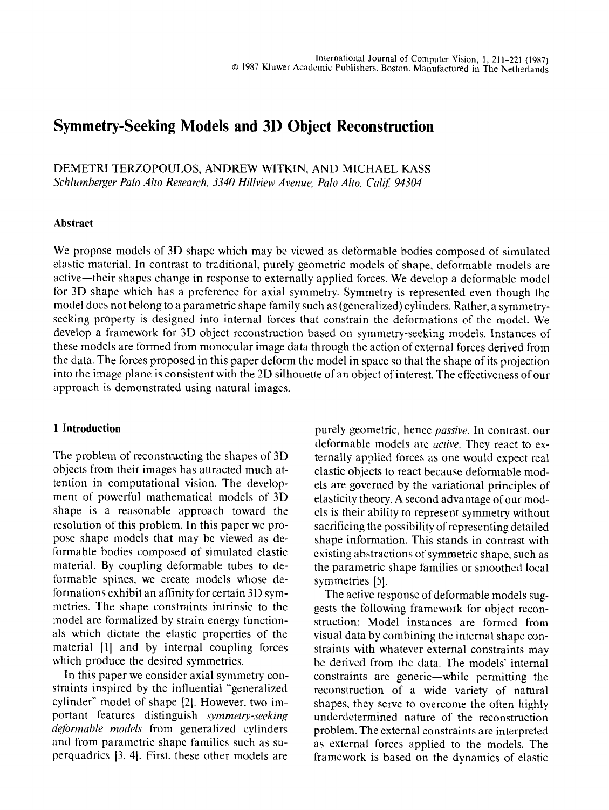# **Symmetry-Seeking Models and 3D Object Reconstruction**

**DEMETRI TERZOPOULOS, ANDREW** WITKIN, AND MICHAEL KASS *Schlumberger Palo Alto Research, 3340 Hillview Avenue, Palo Alto. Calif. 94304* 

# **Abstract**

We propose models of 3D shape which may be viewed as deformable bodies composed of simulated elastic material. In contrast to traditional, purely geometric models of shape, deformable models are active--their shapes change in response to externally applied forces. We develop a deformable model for 3D shape which has a preference for axial symmetry. Symmetry is represented even though the model does not belong to a parametric shape family such as (generalized) cylinders. Rather, a symmetryseeking property is designed into internal forces that constrain the deformations of the model. We develop a framework for 3D object reconstruction based on symmetry-seeking models. Instances of these models are formed from monocular image data through the action of external forces derived from the data. The forces proposed in this paper deform the model in space so that the shape of its projection into the image plane is consistent with the 2D silhouette of an object of interest. The effectiveness of our approach is demonstrated using natural images.

# **1 Introduction**

The problem of reconstructing the shapes of 3D objects from their images has attracted much attention in computational vision. The development of powerful mathematical models of 3D shape is a reasonable approach toward the resolution of this problem. In this paper we propose shape models that may be viewed as deformable bodies composed of simulated elastic material. By coupling deformable tubes to deformable spines, we create models whose deformations exhibit an affinity for certain 3D symmetries. The shape constraints intrinsic to the model are formalized by strain energy functionals which dictate the elastic properties of the material [1] and by internal coupling forces which produce the desired symmetries.

In this paper we consider axial symmetry constraints inspired by the influential "generalized cylinder" model of shape [21. However, two important features distinguish *symmetry-seeking deformable models* from generalized cylinders and from parametric shape families such as superquadrics [3, 4]. First, these other models are

purely geometric, hence *passive.* In contrast, our deformable models are *active.* They react to externally applied forces as one would expect real elastic objects to react because deformable models are governed by the variational principles of elasticity theory. A second advantage of our models is their ability to represent symmetry without sacrificing the possibility of representing detailed shape information. This stands in contrast with existing abstractions of symmetric shape, such as the parametric shape families or smoothed local symmetries [5].

The active response of deformable models suggests the following framework for object reconstruction: Model instances are formed from visual data by combining the internal shape constraints with whatever external constraints may be derived from the data. The models' internal constraints are generic—while permitting the reconstruction of a wide variety of natural shapes, they serve to overcome the often highly underdetermined nature of the reconstruction problem. The external constraints are interpreted as external forces applied to the models. The framework is based on the dynamics of elastic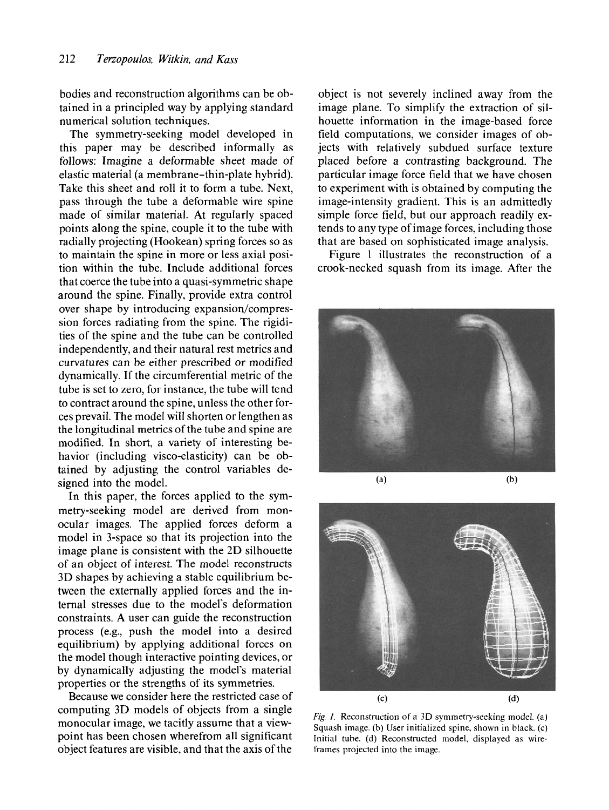bodies and reconstruction algorithms can be obtained in a principled way by applying standard numerical solution techniques.

The symmetry-seeking model developed in this paper may be described informally as follows: Imagine a deformable sheet made of elastic material (a membrane-thin-plate hybrid). Take this sheet and roll it to form a tube. Next, pass through the tube a deformable wire spine made of similar material. At regularly spaced points along the spine, couple it to the tube with radially projecting (Hookean) spring forces so as to maintain the spine in more or less axial position within the tube. Include additional forces that coerce the tube into a quasi-symmetric shape around the spine. Finally, provide extra control over shape by introducing expansion/compression forces radiating from the spine. The rigidities of the spine and the tube can be controlled independently, and their natural rest metrics and curvatures can be either prescribed or modified dynamically. If the circumferential metric of the tube is set to zero, for instance, the tube will tend to contract around the spine, unless the other forces prevail. The model will shorten or lengthen as the longitudinal metrics of the tube and spine are modified. In short, a variety of interesting behavior (including visco-elasticity) can be obtained by adjusting the control variables designed into the model.

In this paper, the forces applied to the symmetry-seeking model are derived from monocular images. The applied forces deform a model in 3-space so that its projection into the image plane is consistent with the 2D silhouette of an object of interest. The model reconstructs 3D shapes by achieving a stable equilibrium between the externally applied forces and the internal stresses due to the model's deformation constraints. A user can guide the reconstruction process (e.g., push the model into a desired equilibrium) by applying additional forces on the model though interactive pointing devices, or by dynamically adjusting the model's material properties or the strengths of its symmetries.

Because we consider here the restricted case of computing 3D models of objects from a single monocular image, we tacitly assume that a viewpoint has been chosen wherefrom all significant object features are visible, and that the axis of the

object is not severely inclined away from the image plane. To simplify the extraction of silhouette information in the image-based force field computations, we consider images of objects with relatively subdued surface texture placed before a contrasting background. The particular image force field that we have chosen to experiment with is obtained by computing the image-intensity gradient. This is an admittedly simple force field, but our approach readily extends to any type of image forces, including those that are based on sophisticated image analysis.

Figure 1 illustrates the reconstruction of a crook-necked squash from its image. After the





*Fig. 1.* Reconstruction of a 3D symmetry-seeking model. (a) Squash image. (b) User initialized spine, shown in black. (c) Initial tube. (d) Reconstructed model, displayed as wireframes projected into the image.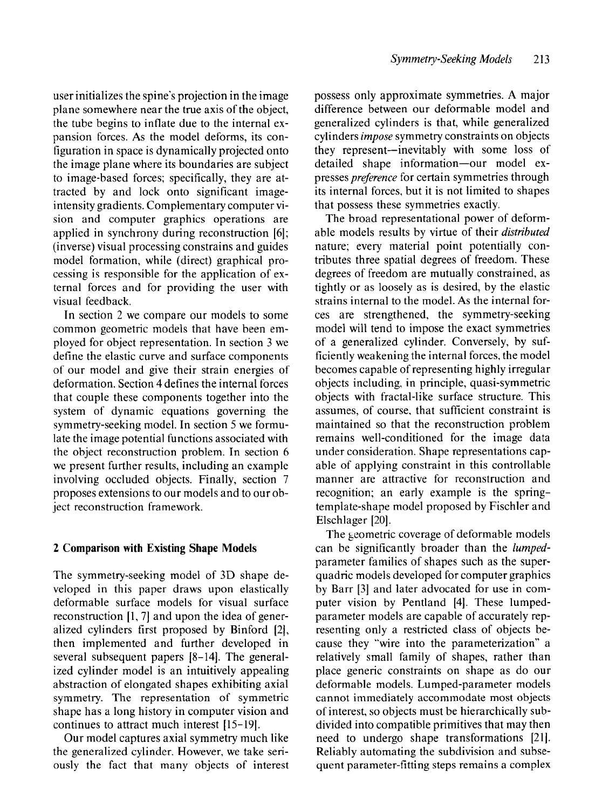user initializes the spine's projection in the image plane somewhere near the true axis of the object, the tube begins to inflate due to the internal expansion forces. As the model deforms, its configuration in space is dynamically projected onto the image plane where its boundaries are subject to image-based forces; specifically, they are attracted by and lock onto significant imageintensity gradients. Complementary computer vision and computer graphics operations are applied in synchrony during reconstruction [6]; (inverse) visual processing constrains and guides model formation, while (direct) graphical processing is responsible for the application of external forces and for providing the user with visual feedback.

In section 2 we compare our models to some common geometric models that have been employed for object representation. In section 3 we define the elastic curve and surface components of our model and give their strain energies of deformation. Section 4 defines the internal forces that couple these components together into the system of dynamic equations governing the symmetry-seeking model. In section 5 we formulate the image potential functions associated with the object reconstruction problem. In section 6 we present further results, including an example involving occluded objects. Finally, section 7 proposes extensions to our models and to our object reconstruction framework.

# **2 Comparison with Existing Shape Models**

The symmetry-seeking model of 3D shape developed in this paper draws upon elastically deformable surface models for visual surface reconstruction [1, 7] and upon the idea of generalized cylinders first proposed by Binford [2], then implemented and further developed in several subsequent papers [8-14]. The generalized cylinder model is an intuitively appealing abstraction of elongated shapes exhibiting axial symmetry. The representation of symmetric shape has a long history in computer vision and continues to attract much interest [15-19].

Our model captures axial symmetry much like the generalized cylinder. However, we take seriously the fact that many objects of interest possess only approximate symmetries. A major difference between our deformable model and generalized cylinders is that, while generalized cylinders *impose* symmetry constraints on objects they represent--inevitably with some loss of detailed shape information-our model expresses *preference* for certain symmetries through its internal forces, but it is not limited to shapes that possess these symmetries exactly.

The broad representational power of deformable models results by virtue of their *distributed*  nature; every material point potentially contributes three spatial degrees of freedom. These degrees of freedom are mutually constrained, as tightly or as loosely as is desired, by the elastic strains internal to the model. As the internal forces are strengthened, the symmetry-seeking model will tend to impose the exact symmetries of a generalized cylinder. Conversely, by sufficiently weakening the internal forces, the model becomes capable of representing highly irregular objects including, in principle, quasi-symmetric objects with fractal-like surface structure. This assumes, of course, that sufficient constraint is maintained so that the reconstruction problem remains well-conditioned for the image data under consideration. Shape representations capable of applying constraint in this controllable manner are attractive for reconstruction and recognition; an early example is the springtemplate-shape model proposed by Fischler and Elschlager [20].

The geometric coverage of deformable models can be significantly broader than the *lumped*parameter families of shapes such as the superquadric models developed for computer graphics by Barr [3] and later advocated for use in computer vision by Pentland [4]. These lumpedparameter models are capable of accurately representing only a restricted class of objects because they "wire into the parameterization" a relatively small family of shapes, rather than place generic constraints on shape as do our deformable models. Lumped-parameter models cannot immediately accommodate most objects of interest, so objects must be hierarchically subdivided into compatible primitives that may then need to undergo shape transformations [21]. Reliably automating the subdivision and subsequent parameter-fitting steps remains a complex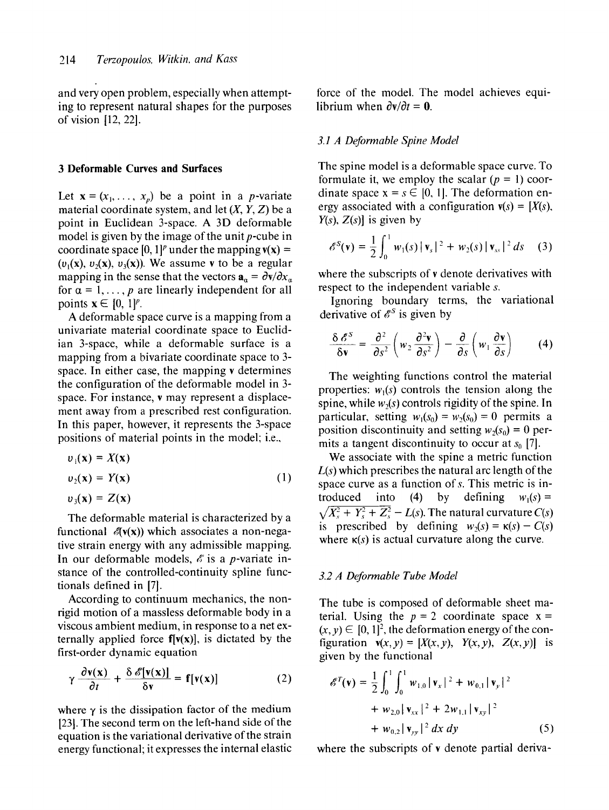and very open problem, especially when attempting to represent natural shapes for the purposes of vision 112, 22].

#### **3 Deformable Curves and Surfaces**

Let  $\mathbf{x} = (x_1, \ldots, x_p)$  be a point in a *p*-variate material coordinate system, and let  $(X, Y, Z)$  be a point in Euclidean 3-space. A 3D deformable model is given by the image of the unit  $p$ -cube in coordinate space  $[0, 1]^p$  under the mapping  $v(x) =$  $(v_1(x), v_2(x), v_3(x))$ . We assume v to be a regular mapping in the sense that the vectors  $\mathbf{a}_{\alpha} = \partial \mathbf{v}/\partial x_{\alpha}$ for  $\alpha = 1, \ldots, p$  are linearly independent for all points  $x \in [0, 1]^p$ .

A deformable space curve is a mapping from a univariate material coordinate space to Euclidian 3-space, while a deformable surface is a mapping from a bivariate coordinate space to 3 space. In either case, the mapping v determines the configuration of the deformable model in 3 space. For instance, v may represent a displacement away from a prescribed rest configuration. In this paper, however, it represents the 3-space positions of material points in the model; i.e.,

$$
v_1(\mathbf{x}) = X(\mathbf{x})
$$

 $v_2(x) = Y(x)$  (1)

$$
v_3(\mathbf{x}) = Z(\mathbf{x})
$$

The deformable material is characterized by a functional  $\mathscr{E}(v(x))$  which associates a non-negative strain energy with any admissible mapping. In our deformable models,  $\mathscr E$  is a *p*-variate instance of the controlled-continuity spline functionals defined in [7].

According to continuum mechanics, the nonrigid motion of a massless deformable body in a viscous ambient medium, in response to a net externally applied force  $f[v(x)]$ , is dictated by the first-order dynamic equation

$$
\gamma \frac{\partial v(\mathbf{x})}{\partial t} + \frac{\delta \mathscr{E}[v(\mathbf{x})]}{\delta v} = \mathbf{f}[v(\mathbf{x})]
$$
 (2)

where  $\gamma$  is the dissipation factor of the medium [23]. The second term on the left-hand side of the equation is the variational derivative of the strain energy functional; it expresses the internal elastic force of the model. The model achieves equilibrium when  $\frac{\partial v}{\partial t} = 0$ .

# *3.1 A Deformable Spine Model*

The spine model is a deformable space curve. To formulate it, we employ the scalar  $(p = 1)$  coordinate space  $x = s \in [0, 1]$ . The deformation energy associated with a configuration  $\mathbf{v}(s) = [X(s)]$ ,  $Y(s)$ ,  $Z(s)$ ] is given by

$$
\mathscr{E}^{S}(\mathbf{v}) = \frac{1}{2} \int_0^1 w_1(s) |\mathbf{v}_s|^2 + w_2(s) |\mathbf{v}_{ss}|^2 ds \quad (3)
$$

where the subscripts of **v** denote derivatives with respect to the independent variable s.

Ignoring boundary terms, the variational derivative of  $\mathscr{E}^S$  is given by

$$
\frac{\delta \, \vec{\mathcal{S}}^S}{\delta \mathbf{v}} = \frac{\partial^2}{\partial s^2} \left( w_2 \, \frac{\partial^2 \mathbf{v}}{\partial s^2} \right) - \frac{\partial}{\partial s} \left( w_1 \, \frac{\partial \mathbf{v}}{\partial s} \right) \tag{4}
$$

The weighting functions control the material properties:  $w_1(s)$  controls the tension along the spine, while  $w_2(s)$  controls rigidity of the spine. In particular, setting  $w_1(s_0) = w_2(s_0) = 0$  permits a position discontinuity and setting  $w_2(s_0) = 0$  permits a tangent discontinuity to occur at  $s_0$  [7].

We associate with the spine a metric function *L(s)* which prescribes the natural arc length of the space curve as a function of s. This metric is introduced into (4) by defining  $w_1(s)$  =  $\sqrt{X_s^2 + Y_s^2 + Z_s^2} - L(s)$ . The natural curvature  $C(s)$ is prescribed by defining  $w_2(s) = \kappa(s) - C(s)$ where  $\kappa(s)$  is actual curvature along the curve.

# *3.2 A Deformable Tube Model*

The tube is composed of deformable sheet material. Using the  $p = 2$  coordinate space  $x =$  $(x, y) \in [0, 1]^2$ , the deformation energy of the configuration  $\mathbf{v}(x, y) = [X(x, y), Y(x, y), Z(x, y)]$  is given by the functional

$$
\mathscr{E}^{T}(\mathbf{v}) = \frac{1}{2} \int_{0}^{1} \int_{0}^{1} w_{1,0} ||\mathbf{v}_{x}||^{2} + w_{0,1} ||\mathbf{v}_{y}||^{2} + w_{2,0} ||\mathbf{v}_{xx}||^{2} + 2w_{1,1} ||\mathbf{v}_{xy}||^{2} + w_{0,2} ||\mathbf{v}_{yy}||^{2} dx dy
$$
 (5)

where the subscripts of v denote partial deriva-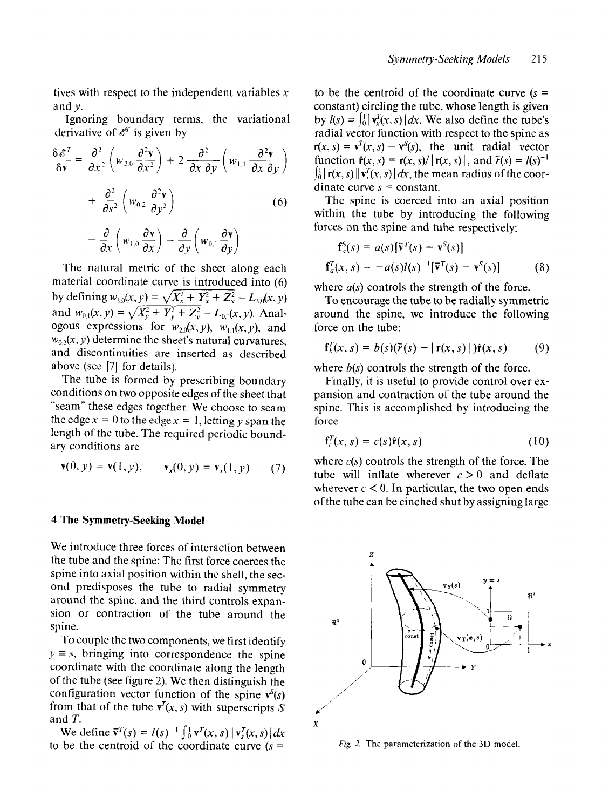tives with respect to the independent variables  $x$ and y.

Ignoring boundary terms, the variational derivative of  $\mathscr{E}^T$  is given by

$$
\frac{\delta \mathscr{E}^T}{\delta \mathbf{v}} = \frac{\partial^2}{\partial x^2} \left( w_{2,0} \frac{\partial^2 \mathbf{v}}{\partial x^2} \right) + 2 \frac{\partial^2}{\partial x \partial y} \left( w_{1,1} \frac{\partial^2 \mathbf{v}}{\partial x \partial y} \right) \n+ \frac{\partial^2}{\partial s^2} \left( w_{0,2} \frac{\partial^2 \mathbf{v}}{\partial y^2} \right) \n- \frac{\partial}{\partial x} \left( w_{1,0} \frac{\partial \mathbf{v}}{\partial x} \right) - \frac{\partial}{\partial y} \left( w_{0,1} \frac{\partial \mathbf{v}}{\partial y} \right)
$$
\n(6)

The natural metric of the sheet along each material coordinate curve is introduced into (6) by defining  $w_{1,0}(x, y) = \sqrt{X_x^2 + Y_x^2 + Z_x^2} - L_{1,0}(x, y)$ and  $w_{0,1}(x, y) = \sqrt{X_y^2 + Y_y^2 + Z_y^2} - L_{0,1}(x, y)$ . Analogous expressions for  $w_{20}(x, y)$ ,  $w_{11}(x, y)$ , and  $w_{0,2}(x, y)$  determine the sheet's natural curvatures, and discontinuities are inserted as described above (see [7] for details).

The tube is formed by prescribing boundary conditions on two opposite edges of the sheet that "seam" these edges together. We choose to seam the edge  $x = 0$  to the edge  $x = 1$ , letting y span the length of the tube. The required periodic boundary conditions are

$$
\mathbf{v}(0, y) = \mathbf{v}(1, y), \qquad \mathbf{v}_x(0, y) = \mathbf{v}_x(1, y) \tag{7}
$$

#### **4 The Symmetry-Seeking Model**

We introduce three forces of interaction between the tube and the spine: The first force coerces the spine into axial position within the shell, the second predisposes the tube to radial symmetry around the spine, and the third controls expansion or contraction of the tube around the spine.

To couple the two components, we first identify  $y \equiv s$ , bringing into correspondence the spine coordinate with the coordinate along the length of the tube (see figure 2). We then distinguish the configuration vector function of the spine  $\mathbf{v}^{S}(s)$ from that of the tube  $\mathbf{v}^T(x, s)$  with superscripts S and T.

We define  $\bar{\mathbf{v}}^{T}(s) = l(s)^{-1} \int_{0}^{1} \mathbf{v}^{T}(x, s) |\mathbf{v}_{s}^{T}(x, s)| dx$ to be the centroid of the coordinate curve  $(s =$ 

to be the centroid of the coordinate curve  $(s =$ constant) circling the tube, whose length is given by  $l(s) = \int_0^1 |\mathbf{v}_x^T(x, s)| dx$ . We also define the tube's radial vector function with respect to the spine as  $\mathbf{r}(x,s) = \mathbf{v}^T(x,s) - \mathbf{v}^S(s)$ , the unit radial vector function  $\hat{\mathbf{r}}(x, s) = \mathbf{r}(x, s)/|\mathbf{r}(x, s)|$ , and  $\overline{r}(s) = l(s)^{-1}$  $\int_0^1 |\mathbf{r}(x, s)| \mathbf{v}_x^T(x, s)| dx$ , the mean radius of the coordinate curve  $s = constant$ .

The spine is coerced into an axial position within the tube by introducing the following forces on the spine and tube respectively:

$$
\mathbf{f}_a^S(s) = a(s)[\overline{\mathbf{v}}^T(s) - \mathbf{v}^S(s)]
$$
  
\n
$$
\mathbf{f}_a^T(x, s) = -a(s)l(s)^{-1}[\overline{\mathbf{v}}^T(s) - \mathbf{v}^S(s)]
$$
\n(8)

where  $a(s)$  controls the strength of the force.

To encourage the tube to be radially symmetric around the spine, we introduce the following force on the tube:

$$
\mathbf{f}_b^T(x,s) = b(s)(\overline{r}(s) - |\mathbf{r}(x,s)|)\hat{\mathbf{r}}(x,s) \tag{9}
$$

where  $b(s)$  controls the strength of the force.

Finally, it is useful to provide control over expansion and contraction of the tube around the spine. This is accomplished by introducing the force

$$
\mathbf{f}_c^T(x,s) = c(s)\hat{\mathbf{r}}(x,s) \tag{10}
$$

where  $c(s)$  controls the strength of the force. The tube will inflate wherever  $c > 0$  and deflate wherever  $c < 0$ . In particular, the two open ends of the tube can be cinched shut by assigning large



*Fig. 2.* The parameterization of the 3D model.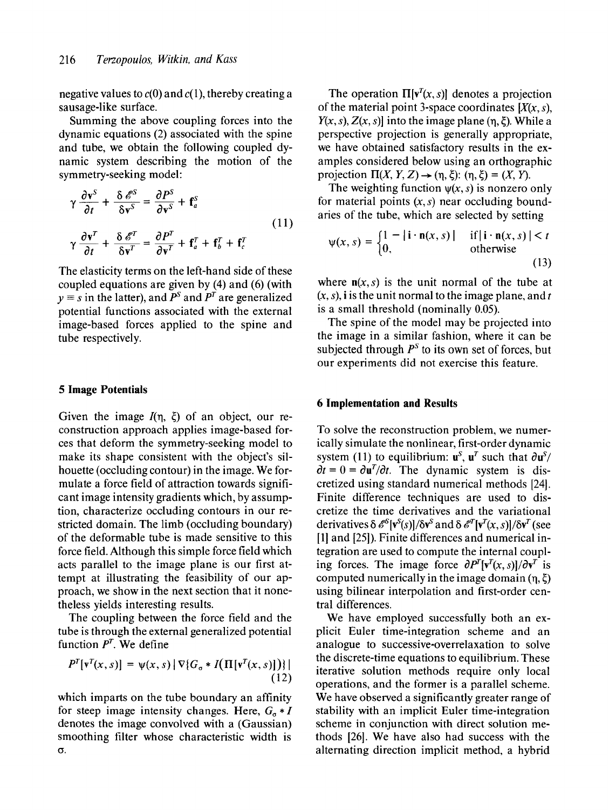negative values to  $c(0)$  and  $c(1)$ , thereby creating a sausage-like surface.

Summing the above coupling forces into the dynamic equations (2) associated with the spine and tube, we obtain the following coupled dynamic system describing the motion of the symmetry-seeking model:

$$
\gamma \frac{\partial \mathbf{v}^S}{\partial t} + \frac{\delta \mathscr{E}^S}{\delta \mathbf{v}^S} = \frac{\partial P^S}{\partial \mathbf{v}^S} + \mathbf{f}_a^S
$$
  

$$
\gamma \frac{\partial \mathbf{v}^T}{\partial t} + \frac{\delta \mathscr{E}^T}{\delta \mathbf{v}^T} = \frac{\partial P^T}{\partial \mathbf{v}^T} + \mathbf{f}_a^T + \mathbf{f}_b^T + \mathbf{f}_c^T
$$
 (11)

The elasticity terms on the left-hand side of these coupled equations are given by (4) and (6) (with  $y \equiv s$  in the latter), and  $P^s$  and  $P^r$  are generalized potential functions associated with the external image-based forces applied to the spine and tube respectively.

#### **5 Image Potentials**

Given the image  $I(\eta, \xi)$  of an object, our reconstruction approach applies image-based forces that deform the symmetry-seeking model to make its shape consistent with the object's silhouette (occluding contour) in the image. We formulate a force field of attraction towards significant image intensity gradients which, by assumption, characterize occluding contours in our restricted domain. The limb (occluding boundary) of the deformable tube is made sensitive to this force field. Although this simple force field which acts parallel to the image plane is our first attempt at illustrating the feasibility of our approach, we show in the next section that it nonetheless yields interesting results.

The coupling between the force field and the tube is through the external generalized potential function  $P^T$ . We define

$$
P^{T}[v^{T}(x, s)] = \psi(x, s) | \nabla \{G_{\sigma} * I(\Pi[v^{T}(x, s)]\})|
$$
\n(12)

which imparts on the tube boundary an affinity for steep image intensity changes. Here,  $G_{\sigma} * I$ denotes the image convolved with a (Gaussian) smoothing filter whose characteristic width is O.

The operation  $\Pi[\mathbf{v}^T(x, s)]$  denotes a projection of the material point 3-space coordinates  $[X(x, s)]$ ,  $Y(x, s), Z(x, s)$  into the image plane  $(n, \xi)$ . While a perspective projection is generally appropriate, we have obtained satisfactory results in the examples considered below using an orthographic projection  $\Pi(X, Y, Z) \rightarrow (\eta, \xi)$ :  $(\eta, \xi) = (X, Y)$ .

The weighting function  $\psi(x, s)$  is nonzero only for material points  $(x, s)$  near occluding boundaries of the tube, which are selected by setting

$$
\psi(x, s) = \begin{cases} 1 - |\mathbf{i} \cdot \mathbf{n}(x, s)| & \text{if } |\mathbf{i} \cdot \mathbf{n}(x, s)| < t \\ 0, & \text{otherwise} \end{cases} \tag{13}
$$

where  $n(x, s)$  is the unit normal of the tube at  $(x, s)$ , i is the unit normal to the image plane, and t is a small threshold (nominally 0.05).

The spine of the model may be projected into the image in a similar fashion, where it can be subjected through  $P^s$  to its own set of forces, but our experiments did not exercise this feature.

# **6 Implementation and Results**

To solve the reconstruction problem, we numerically simulate the nonlinear, first-order dynamic system (11) to equilibrium:  $\mathbf{u}^{s}$ ,  $\mathbf{u}^{r}$  such that  $\partial \mathbf{u}^{s}$ /  $\partial t = 0 = \partial u^T / \partial t$ . The dynamic system is discretized using standard numerical methods [24]. Finite difference techniques are used to discretize the time derivatives and the variational derivatives  $\delta \mathcal{E}^{\mathcal{S}}[\mathbf{v}^S(s)]/\delta \mathbf{v}^S$  and  $\delta \mathcal{E}^T[\mathbf{v}^T(x, s)]/\delta \mathbf{v}^T$  (see [1] and [25]). Finite differences and numerical integration are used to compute the internal coupling forces. The image force  $\partial P^{T}[v^{T}(x, s)]/\partial v^{T}$  is computed numerically in the image domain  $(\eta, \xi)$ using bilinear interpolation and first-order central differences.

We have employed successfully both an explicit Euler time-integration scheme and an analogue to successive-overrelaxation to solve the discrete-time equations to equilibrium. These iterative solution methods require only local operations, and the former is a parallel scheme. We have observed a significantly greater range of stability with an implicit Euler time-integration scheme in conjunction with direct solution methods [26]. We have also had success with the alternating direction implicit method, a hybrid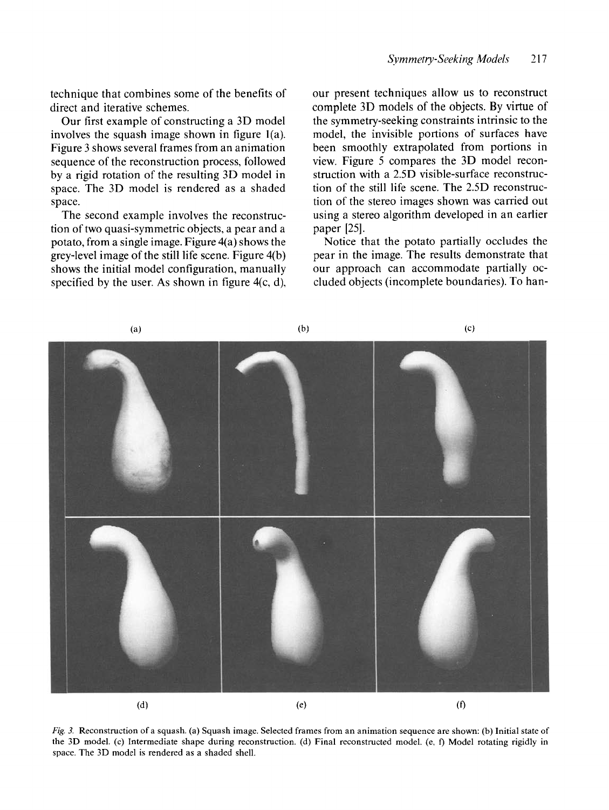technique that combines some of the benefits of direct and iterative schemes.

Our first example of constructing a 3D model involves the squash image shown in figure l(a). Figure 3 shows several frames from an animation sequence of the reconstruction process, followed by a rigid rotation of the resulting 3D model in space. The 3D model is rendered as a shaded space.

The second example involves the reconstruction of two quasi-symmetric objects, a pear and a potato, from a single image. Figure 4(a) shows the grey-level image of the still life scene. Figure 4(b) shows the initial model configuration, manually specified by the user. As shown in figure 4(c, d),

our present techniques allow us to reconstruct complete 3D models of the objects. By virtue of the symmetry-seeking constraints intrinsic to the model, the invisible portions of surfaces have been smoothly extrapolated from portions in view. Figure 5 compares the 3D model reconstruction with a 2.5D visible-surface reconstruction of the still life scene. The 2.5D reconstruction of the stereo images shown was carried out using a stereo algorithm developed in an earlier paper [25].

Notice that the potato partially occludes the pear in the image. The results demonstrate that our approach can accommodate partially occluded objects (incomplete boundaries). To han-



*Fig. 3.* Reconstruction of a squash. (a) Squash image. Selected frames from an animation sequence are shown: (b) Initial state of the 3D model. (c) Intermediate shape during reconstruction. (d) Final reconstructed model. (e, f) Model rotating rigidly in space. The 3D model is rendered as a shaded shell.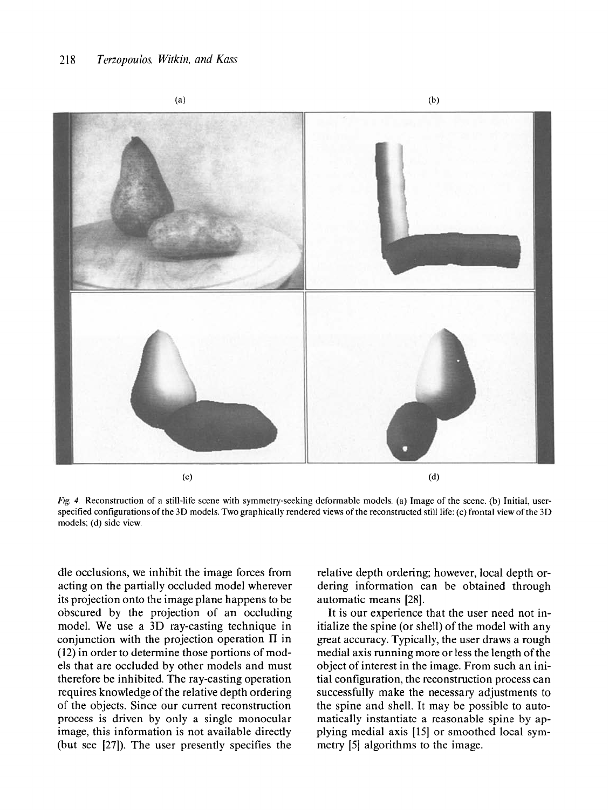

*Fig. 4.* Reconstruction of a still-life scene with symmetry-seeking deformable models. (a) Image of the scene. (b) Initial, userspecified configurations of the 3D models. Two graphically rendered views of the reconstructed still life: (c) frontal view of the 3D models; (d) side view.

dle occlusions, we inhibit the image forces from acting on the partially occluded model wherever its projection onto the image plane happens to be obscured by the projection of an occluding model. We use a 3D ray-casting technique in conjunction with the projection operation  $\Pi$  in (12) in order to determine those portions of models that are occluded by other models and must therefore be inhibited. The ray-casting operation requires knowledge of the relative depth ordering of the objects. Since our current reconstruction process is driven by only a single monocular image, this information is not available directly (but see [27]). The user presently specifies the

relative depth ordering; however, local depth ordering information can be obtained through automatic means [28].

It is our experience that the user need not initialize the spine (or shell) of the model with any great accuracy. Typically, the user draws a rough medial axis running more or less the length of the object of interest in the image. From such an initial configuration, the reconstruction process can successfully make the necessary adjustments to the spine and shell. It may be possible to automatically instantiate a reasonable spine by applying medial axis [15] or smoothed local symmetry [5] algorithms to the image.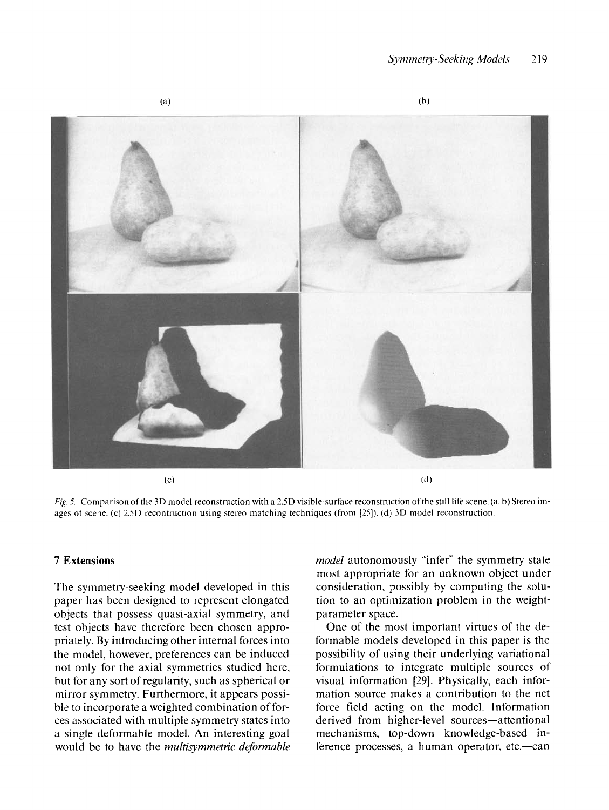

*Fig. 5.* Comparison of the 3D model reconstruction with a 2.5D visible-surface reconstruction of the still life scene. (a, b) Stereo images of scene. (c) 2.5D recontruction using stereo matching techniques (from [25]). (d) 3D model reconstruction.

#### **7 Extensions**

The symmetry-seeking model developed in this paper has been designed to represent elongated objects that possess quasi-axial symmetry, and test objects have therefore been chosen appropriately. By introducing other internal forces into the model, however, preferences can be induced not only for the axial symmetries studied here, but for any sort of regularity, such as spherical or mirror symmetry. Furthermore, it appears possible to incorporate a weighted combination of forces associated with multiple symmetry states into a single deformable model. An interesting goal would be to have the *multisymmetric deformable*  *model* autonomously "infer" the symmetry state most appropriate for an unknown object under consideration, possibly by computing the solution to an optimization problem in the weightparameter space.

One of the most important virtues of the deformable models developed in this paper is the possibility of using their underlying variational formulations to integrate multiple sources of visual information [29]. Physically, each information source makes a contribution to the net force field acting on the model. Information derived from higher-level sources--attentional mechanisms, top-down knowledge-based inference processes, a human operator, etc.--can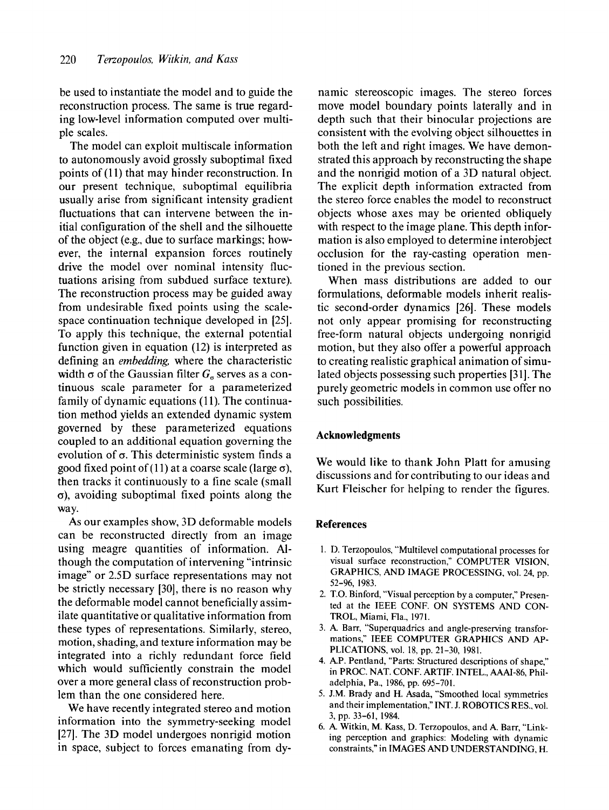be used to instantiate the model and to guide the reconstruction process. The same is true regarding low-level information computed over multiple scales.

The model can exploit multiscale information to autonomously avoid grossly suboptimal fixed points of (11) that may hinder reconstruction. In our present technique, suboptimal equilibria usually arise from significant intensity gradient fluctuations that can intervene between the initial configuration of the shell and the silhouette of the object (e.g., due to surface markings; however, the internal expansion forces routinely drive the model over nominal intensity fluctuations arising from subdued surface texture). The reconstruction process may be guided away from undesirable fixed points using the scalespace continuation technique developed in [25]. To apply this technique, the external potential function given in equation (12) is interpreted as defining an *embedding,* where the characteristic width  $\sigma$  of the Gaussian filter  $G_{\sigma}$  serves as a continuous scale parameter for a parameterized family of dynamic equations (11). The continuation method yields an extended dynamic system governed by these parameterized equations coupled to an additional equation governing the evolution of  $\sigma$ . This deterministic system finds a good fixed point of (11) at a coarse scale (large  $\sigma$ ), then tracks it continuously to a fine scale (small  $\sigma$ ), avoiding suboptimal fixed points along the way.

As our examples show, 3D deformable models can be reconstructed directly from an image using meagre quantities of information. Although the computation of intervening "intrinsic image" or 2.5D surface representations may not be strictly necessary [30], there is no reason why the deformable model cannot beneficially assimilate quantitative or qualitative information from these types of representations. Similarly, stereo, motion, shading, and texture information may be integrated into a richly redundant force field which would sufficiently constrain the model over a more general class of reconstruction problem than the one considered here.

We have recently integrated stereo and motion information into the symmetry-seeking model [27]. The 3D model undergoes nonrigid motion in space, subject to forces emanating from dynamic stereoscopic images. The stereo forces move model boundary points laterally and in depth such that their binocular projections are consistent with the evolving object silhouettes in both the left and fight images. We have demonstrated this approach by reconstructing the shape and the nonrigid motion of a 3D natural object. The explicit depth information extracted from the stereo force enables the model to reconstruct objects whose axes may be oriented obliquely with respect to the image plane. This depth information is also employed to determine interobject occlusion for the ray-casting operation mentioned in the previous section.

When mass distributions are added to our formulations, deformable models inherit realistic second-order dynamics [26]. These models not only appear promising for reconstructing free-form natural objects undergoing nonrigid motion, but they also offer a powerful approach to creating realistic graphical animation of simulated objects possessing such properties [31]. The purely geometric models in common use offer no such possibilities.

#### **Acknowledgments**

We would like to thank John Platt for amusing discussions and for contributing to our ideas and Kurt Fleischer for helping to render the figures.

# **References**

- 1. D. Terzopoulos, "Multilevel computational processes for visual surface reconstruction," COMPUTER VISION, GRAPHICS, AND IMAGE PROCESSING, vol. 24, pp. 52-96, 1983.
- 2. T.O. Binford, "'Visual perception by a computer," Presented at the IEEE CONF. ON SYSTEMS AND CON-TROL, Miami, Fla., 1971.
- 3. A. Barr, "Superquadrics and angle-preserving transformations," IEEE COMPUTER GRAPHICS AND AP-PLICATIONS, vol. 18, pp. 21-30, 1981.
- 4. A.P. Pentland, "Parts: Structured descriptions of shape," in PROC. NAT. CONF. ARTIF. INTEL., AAAI-86, Philadelphia, Pa., 1986, pp. 695-701.
- 5. J.M. Brady and H. Asada, "'Smoothed local symmetries and their implementation," INT. J. ROBOTICS RES., vol. 3, pp. 33-61, 1984.
- 6. A. Witkin, M. Kass, D. Terzopoulos, and A. Barr, "Linking perception and graphics: Modeling with dynamic constraints," in IMAGES AND UNDERSTANDING, H.